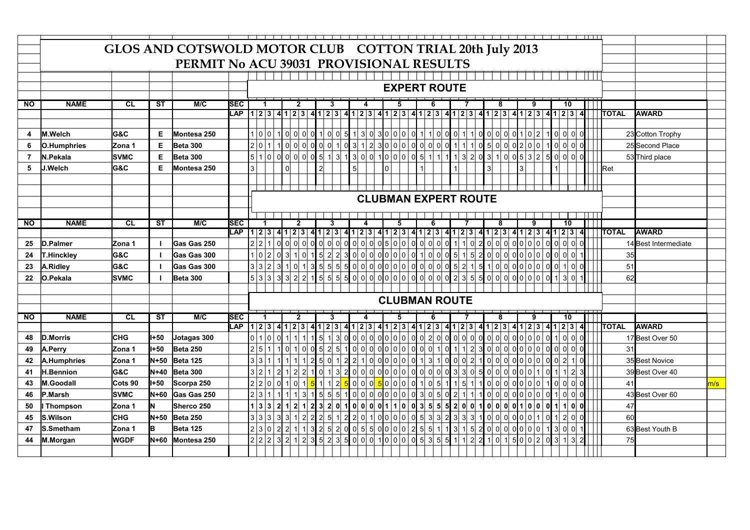|                |                   |             |             | GLOS AND COTSWOLD MOTOR CLUB COTTON TRIAL 20th July 2013 |            |                                                                                                                                                                                                                                                                     |                                        |                |   |       |                |                |   |                                                                                             |   |  |   |                |   |               |    |                |  |              |                      |     |
|----------------|-------------------|-------------|-------------|----------------------------------------------------------|------------|---------------------------------------------------------------------------------------------------------------------------------------------------------------------------------------------------------------------------------------------------------------------|----------------------------------------|----------------|---|-------|----------------|----------------|---|---------------------------------------------------------------------------------------------|---|--|---|----------------|---|---------------|----|----------------|--|--------------|----------------------|-----|
|                |                   |             |             | PERMIT No ACU 39031 PROVISIONAL RESULTS                  |            |                                                                                                                                                                                                                                                                     |                                        |                |   |       |                |                |   |                                                                                             |   |  |   |                |   |               |    |                |  |              |                      |     |
|                |                   |             |             |                                                          |            |                                                                                                                                                                                                                                                                     |                                        |                |   |       |                |                |   |                                                                                             |   |  |   |                |   |               |    |                |  |              |                      |     |
|                |                   |             |             |                                                          |            |                                                                                                                                                                                                                                                                     |                                        |                |   |       |                |                |   | <b>EXPERT ROUTE</b>                                                                         |   |  |   |                |   |               |    |                |  |              |                      |     |
|                |                   |             |             |                                                          |            |                                                                                                                                                                                                                                                                     |                                        |                |   |       |                |                |   |                                                                                             |   |  |   |                |   |               |    |                |  |              |                      |     |
| <b>NO</b>      | <b>NAME</b>       | <b>CL</b>   | ST          | M/C                                                      | <b>SEC</b> |                                                                                                                                                                                                                                                                     | 2                                      |                | 3 |       | 4              |                | 5 |                                                                                             |   |  | 8 |                | 9 |               | 10 |                |  |              |                      |     |
|                |                   |             |             |                                                          | <b>LAP</b> | 12341234123                                                                                                                                                                                                                                                         |                                        |                |   |       |                |                |   | $41 2 3 4 1 2 3 4 1 2 3 4 1 2 3 4 1 2 3 4 1 2 3 4 1 2 3 4 $                                 |   |  |   |                |   |               |    |                |  | <b>TOTAL</b> | <b>AWARD</b>         |     |
|                |                   |             |             |                                                          |            |                                                                                                                                                                                                                                                                     |                                        |                |   |       |                |                |   |                                                                                             |   |  |   |                |   |               |    |                |  |              |                      |     |
| 4              | <b>M.Welch</b>    | lG&C        | Е.          | Montesa 250                                              |            | 1 0 0                                                                                                                                                                                                                                                               | 1000010100513030001100001100000000100  |                |   |       |                |                |   |                                                                                             |   |  |   |                |   |               |    |                |  |              | 23 Cotton Trophy     |     |
| 6              | O.Humphries       | Zona 1      | Е           | <b>Beta 300</b>                                          |            | 2 0                                                                                                                                                                                                                                                                 | 10000001031230000000011105000020001000 |                |   |       |                |                |   |                                                                                             |   |  |   |                |   |               |    |                |  |              | 25 Second Place      |     |
| $\overline{7}$ | N.Pekala          | <b>SVMC</b> | Е           | Beta 300                                                 |            | 5 1 0 0 0 0 0 0 5 1 3 1 3 0 0 1 0 0 0 0 5 1 1 1 1 3 2 0 3 1 0 5 3 2 5 0 0 0 0                                                                                                                                                                                       |                                        |                |   |       |                |                |   |                                                                                             |   |  |   |                |   |               |    |                |  |              | 53 Third place       |     |
| 5              | <b>J.Welch</b>    | G&C         | Е           | Montesa 250                                              |            | 3                                                                                                                                                                                                                                                                   | 0                                      | $\overline{2}$ |   |       | $\overline{5}$ | $\overline{0}$ |   |                                                                                             | 1 |  |   | $\overline{3}$ |   |               |    |                |  | Ret          |                      |     |
|                |                   |             |             |                                                          |            |                                                                                                                                                                                                                                                                     |                                        |                |   |       |                |                |   |                                                                                             |   |  |   |                |   |               |    |                |  |              |                      |     |
|                |                   |             |             |                                                          |            |                                                                                                                                                                                                                                                                     |                                        |                |   |       |                |                |   |                                                                                             |   |  |   |                |   |               |    |                |  |              |                      |     |
|                |                   |             |             |                                                          |            |                                                                                                                                                                                                                                                                     |                                        |                |   |       |                |                |   | <b>CLUBMAN EXPERT ROUTE</b>                                                                 |   |  |   |                |   |               |    |                |  |              |                      |     |
|                |                   |             |             |                                                          |            |                                                                                                                                                                                                                                                                     |                                        |                |   |       |                |                |   |                                                                                             |   |  |   |                |   |               |    |                |  |              |                      |     |
| <b>NO</b>      | <b>NAME</b>       | CL          | <b>ST</b>   | M/C                                                      | <b>SEC</b> |                                                                                                                                                                                                                                                                     | $\overline{2}$                         |                | 3 |       |                |                | 5 |                                                                                             |   |  |   |                | 9 |               | 10 |                |  |              |                      |     |
|                |                   |             |             |                                                          | LAP        | $123   4123   4123   4123   4123   4123   4123   4123   4123   4123   4123   4123   4123   4123   4123   4123   4123   4123   4123   4123   4123   4123   4123   4123   4123   4123   4123   4123   4123   4123   4123   4123   4123   4123   4123   4123   4123  $ |                                        |                |   |       |                |                |   |                                                                                             |   |  |   |                |   |               |    |                |  | <b>TOTAL</b> | <b>AWARD</b>         |     |
| 25             | D.Palmer          | IZona 1     |             | Gas Gas 250                                              |            | 2 2 1                                                                                                                                                                                                                                                               | $0$ $0$ $0$ $0$                        |                |   |       |                |                |   |                                                                                             |   |  |   |                |   |               |    | $\Omega$       |  |              | 14 Best Intermediate |     |
| 24             | <b>T.Hinckley</b> | IG&C        |             | Gas Gas 300                                              |            | 1 0 2 03 10                                                                                                                                                                                                                                                         |                                        |                |   |       |                |                |   | 1 5 2 2 3 0 0 0 0 0 0 0 0 0 1 0 0 0 5 1 5 2 0 0 0 0 0 0 0 0 0 0 0                           |   |  |   |                |   |               |    |                |  | 35           |                      |     |
| 23             | A.Ridley          | G&C         |             | Gas Gas 300                                              |            | 3 3 2                                                                                                                                                                                                                                                               | $3 \t1 \t0 \t1$                        |                |   |       |                |                |   |                                                                                             |   |  |   |                |   |               |    |                |  | 51           |                      |     |
| 22             | O.Pekala          | <b>SVMC</b> |             | <b>Beta 300</b>                                          |            |                                                                                                                                                                                                                                                                     |                                        |                |   |       |                |                |   |                                                                                             |   |  |   |                |   |               |    |                |  | 62           |                      |     |
|                |                   |             |             |                                                          |            |                                                                                                                                                                                                                                                                     |                                        |                |   |       |                |                |   |                                                                                             |   |  |   |                |   |               |    |                |  |              |                      |     |
|                |                   |             |             |                                                          |            |                                                                                                                                                                                                                                                                     |                                        |                |   |       |                |                |   | <b>CLUBMAN ROUTE</b>                                                                        |   |  |   |                |   |               |    |                |  |              |                      |     |
|                |                   |             |             |                                                          |            |                                                                                                                                                                                                                                                                     |                                        |                |   |       |                |                |   |                                                                                             |   |  |   |                |   |               |    |                |  |              |                      |     |
| <b>NO</b>      | <b>NAME</b>       | <b>CL</b>   | <b>ST</b>   | M/C                                                      | <b>SEC</b> | $\blacktriangleleft$                                                                                                                                                                                                                                                | $\mathfrak{p}$                         |                | 3 |       |                |                |   |                                                                                             |   |  | 8 |                | 9 |               | 10 |                |  |              |                      |     |
|                |                   |             |             |                                                          |            | LAP $1 2 3 4 1 2 3 $                                                                                                                                                                                                                                                |                                        |                |   |       |                |                |   | 4 1 2 3 4 1 2 3 4 1 2 3 4 1 2 3 4 1 2 3 4 1 2 3 4 1 2 3 4 1 2 3 4 1 2 3 4 1 2 3 4 1 2 3 4 1 |   |  |   |                |   |               |    |                |  | <b>TOTAL</b> | <b>AWARD</b>         |     |
| 48             | <b>D.Morris</b>   | ICHG.       | l+50        | Jotagas 300                                              |            | 0 1 0 0 1 1 1                                                                                                                                                                                                                                                       |                                        |                |   |       |                |                |   |                                                                                             |   |  |   |                |   |               |    |                |  |              | 17 Best Over 50      |     |
| 49             | A.Perry           | Zona 1      | <b>I+50</b> | Beta 250                                                 |            | 2 5                                                                                                                                                                                                                                                                 | $1$ o $1$ o                            |                |   |       |                |                |   | 0 5 2 5 1 0 0 0 0 0 0 0 0 0 0 0 0 1 0 1 1 2 3 0 0 0 0 0 0 0 0 0 0 0 0                       |   |  |   |                |   |               |    |                |  | 31           |                      |     |
| 42             | A.Humphries       | Zona 1      | $N+50$      | Beta 125                                                 |            | 3 3                                                                                                                                                                                                                                                                 | 111111                                 |                |   | 25012 |                |                |   | $2 1 0 0 0 0 0 0 1 3 1 0 0 2 1 0 0 0 0 0 0 0 0 0 2 $                                        |   |  |   |                |   |               |    | $\Omega$       |  |              | 35 Best Novice       |     |
| 41             | <b>H.Bennion</b>  | G&C         | $N+40$      | <b>Beta 300</b>                                          |            | 3 2 1                                                                                                                                                                                                                                                               | 2   1   2   2                          |                |   | 10132 |                |                |   |                                                                                             |   |  |   |                |   |               |    | 2 <sup>1</sup> |  |              | 39 Best Over 40      |     |
| 43             | <b>M.Goodall</b>  | Cots 90     | l+50        | Scorpa 250                                               |            | 2 2 0 0 1 0 1                                                                                                                                                                                                                                                       |                                        |                |   |       |                |                |   |                                                                                             |   |  |   |                |   | $1$ o $0$ $0$ |    |                |  | 41           |                      | m/s |
| 46             | P.Marsh           | <b>SVMC</b> | N+60        | Gas Gas 250                                              |            | 2 3                                                                                                                                                                                                                                                                 | $1 \mid 1 \mid 3$                      |                |   |       |                |                |   | 1 5 5 5 1 0 0 0 0 0 0 0 0 0 0 3 0 5 0 2 1 1 1 0 0 0 0 0 0 0 0 0 1 0 0                       |   |  |   |                |   |               |    |                |  |              | 43 Best Over 60      |     |
| 50             | <b>Thompson</b>   | Zona 1      | IN.         | Sherco 250                                               |            | 1   3   3   2   1   2   1                                                                                                                                                                                                                                           |                                        |                |   | 23201 |                |                |   |                                                                                             |   |  |   |                |   |               |    |                |  | 47           |                      |     |
| 45             | S.Wilson          | CHG         | $N+50$      | <b>Beta 250</b>                                          |            | 3 3 3                                                                                                                                                                                                                                                               | 3312                                   |                |   |       |                |                |   | 22512512201000000533233100000010120                                                         |   |  |   |                |   |               |    | $\mathbf{0}$   |  | 60           |                      |     |
| 47             | S.Smetham         | Zona 1      | lB.         | <b>Beta 125</b>                                          |            | 2 3 0                                                                                                                                                                                                                                                               | 2 2 1 1                                |                |   |       |                |                |   | $325200550005$                                                                              |   |  |   |                |   |               |    |                |  |              | 63 Best Youth B      |     |
| 44             | M.Morgan          | <b>WGDF</b> | N+60        | Montesa 250                                              |            | 2   2   2   3   2   1   2   3   5   2   3   5   0   0   0   1   0   0   0   0   5   3   5   5   1   1   2   2   1   0   1   5   0   0   2   0   3   1   3                                                                                                           |                                        |                |   |       |                |                |   |                                                                                             |   |  |   |                |   |               |    | $\overline{2}$ |  | 75           |                      |     |
|                |                   |             |             |                                                          |            |                                                                                                                                                                                                                                                                     |                                        |                |   |       |                |                |   |                                                                                             |   |  |   |                |   |               |    |                |  |              |                      |     |